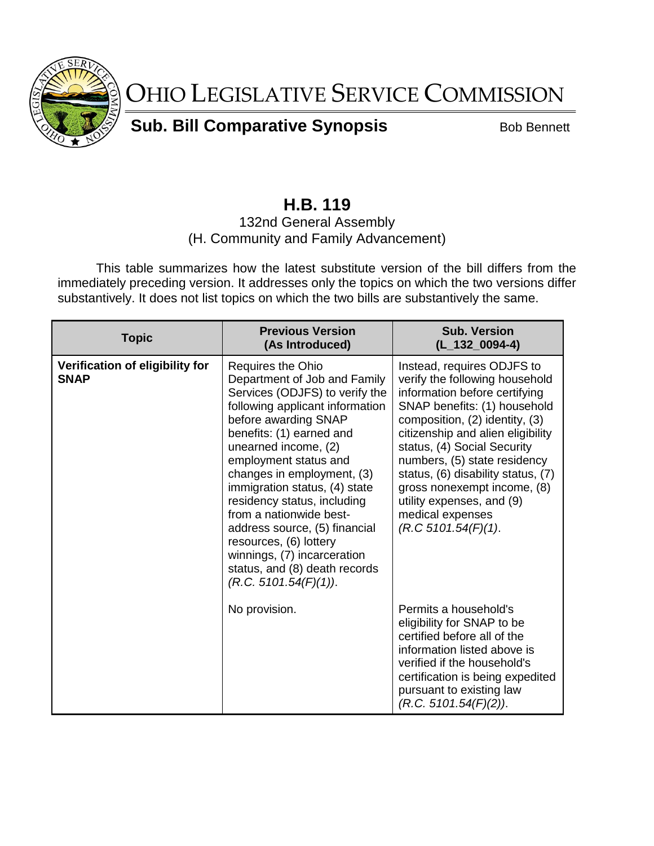

OHIO LEGISLATIVE SERVICE COMMISSION

**Sub. Bill Comparative Synopsis** Bob Bennett

## **H.B. 119**

## 132nd General Assembly (H. Community and Family Advancement)

This table summarizes how the latest substitute version of the bill differs from the immediately preceding version. It addresses only the topics on which the two versions differ substantively. It does not list topics on which the two bills are substantively the same.

| <b>Topic</b>                                   | <b>Previous Version</b><br>(As Introduced)                                                                                                                                                                                                                                                                                                                                                                                                                                                                      | <b>Sub. Version</b><br>$(L_132_0094-4)$                                                                                                                                                                                                                                                                                                                                                                          |
|------------------------------------------------|-----------------------------------------------------------------------------------------------------------------------------------------------------------------------------------------------------------------------------------------------------------------------------------------------------------------------------------------------------------------------------------------------------------------------------------------------------------------------------------------------------------------|------------------------------------------------------------------------------------------------------------------------------------------------------------------------------------------------------------------------------------------------------------------------------------------------------------------------------------------------------------------------------------------------------------------|
| Verification of eligibility for<br><b>SNAP</b> | <b>Requires the Ohio</b><br>Department of Job and Family<br>Services (ODJFS) to verify the<br>following applicant information<br>before awarding SNAP<br>benefits: (1) earned and<br>unearned income, (2)<br>employment status and<br>changes in employment, (3)<br>immigration status, (4) state<br>residency status, including<br>from a nationwide best-<br>address source, (5) financial<br>resources, (6) lottery<br>winnings, (7) incarceration<br>status, and (8) death records<br>(R.C. 5101.54(F)(1)). | Instead, requires ODJFS to<br>verify the following household<br>information before certifying<br>SNAP benefits: (1) household<br>composition, (2) identity, (3)<br>citizenship and alien eligibility<br>status, (4) Social Security<br>numbers, (5) state residency<br>status, (6) disability status, (7)<br>gross nonexempt income, (8)<br>utility expenses, and (9)<br>medical expenses<br>(R.C.5101.54(F)(1). |
|                                                | No provision.                                                                                                                                                                                                                                                                                                                                                                                                                                                                                                   | Permits a household's<br>eligibility for SNAP to be<br>certified before all of the<br>information listed above is<br>verified if the household's<br>certification is being expedited<br>pursuant to existing law<br>(R.C. 5101.54(F)(2)).                                                                                                                                                                        |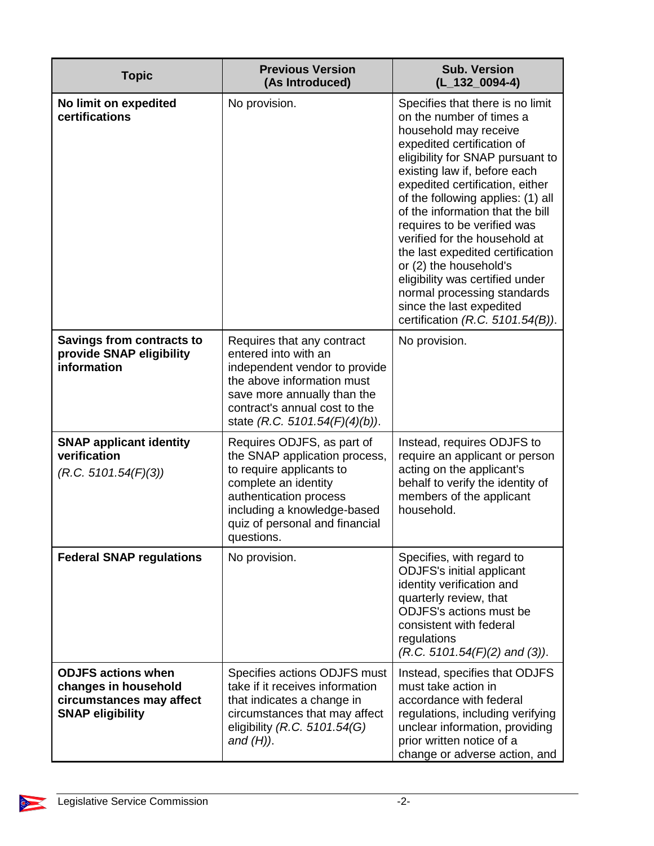| <b>Topic</b>                                                                                             | <b>Previous Version</b><br>(As Introduced)                                                                                                                                                                               | <b>Sub. Version</b><br>$(L_132_0094-4)$                                                                                                                                                                                                                                                                                                                                                                                                                                                                                                                                |
|----------------------------------------------------------------------------------------------------------|--------------------------------------------------------------------------------------------------------------------------------------------------------------------------------------------------------------------------|------------------------------------------------------------------------------------------------------------------------------------------------------------------------------------------------------------------------------------------------------------------------------------------------------------------------------------------------------------------------------------------------------------------------------------------------------------------------------------------------------------------------------------------------------------------------|
| No limit on expedited<br>certifications                                                                  | No provision.                                                                                                                                                                                                            | Specifies that there is no limit<br>on the number of times a<br>household may receive<br>expedited certification of<br>eligibility for SNAP pursuant to<br>existing law if, before each<br>expedited certification, either<br>of the following applies: (1) all<br>of the information that the bill<br>requires to be verified was<br>verified for the household at<br>the last expedited certification<br>or (2) the household's<br>eligibility was certified under<br>normal processing standards<br>since the last expedited<br>certification $(R.C. 5101.54(B))$ . |
| Savings from contracts to<br>provide SNAP eligibility<br>information                                     | Requires that any contract<br>entered into with an<br>independent vendor to provide<br>the above information must<br>save more annually than the<br>contract's annual cost to the<br>state (R.C. 5101.54(F)(4)(b)).      | No provision.                                                                                                                                                                                                                                                                                                                                                                                                                                                                                                                                                          |
| <b>SNAP applicant identity</b><br>verification<br>(R.C. 5101.54(F)(3))                                   | Requires ODJFS, as part of<br>the SNAP application process,<br>to require applicants to<br>complete an identity<br>authentication process<br>including a knowledge-based<br>quiz of personal and financial<br>questions. | Instead, requires ODJFS to<br>require an applicant or person<br>acting on the applicant's<br>behalf to verify the identity of<br>members of the applicant<br>household.                                                                                                                                                                                                                                                                                                                                                                                                |
| <b>Federal SNAP regulations</b>                                                                          | No provision.                                                                                                                                                                                                            | Specifies, with regard to<br><b>ODJFS's initial applicant</b><br>identity verification and<br>quarterly review, that<br><b>ODJFS's actions must be</b><br>consistent with federal<br>regulations<br>$(R.C. 5101.54(F)(2)$ and (3)).                                                                                                                                                                                                                                                                                                                                    |
| <b>ODJFS actions when</b><br>changes in household<br>circumstances may affect<br><b>SNAP eligibility</b> | Specifies actions ODJFS must<br>take if it receives information<br>that indicates a change in<br>circumstances that may affect<br>eligibility (R.C. 5101.54(G)<br>and $(H)$ ).                                           | Instead, specifies that ODJFS<br>must take action in<br>accordance with federal<br>regulations, including verifying<br>unclear information, providing<br>prior written notice of a<br>change or adverse action, and                                                                                                                                                                                                                                                                                                                                                    |